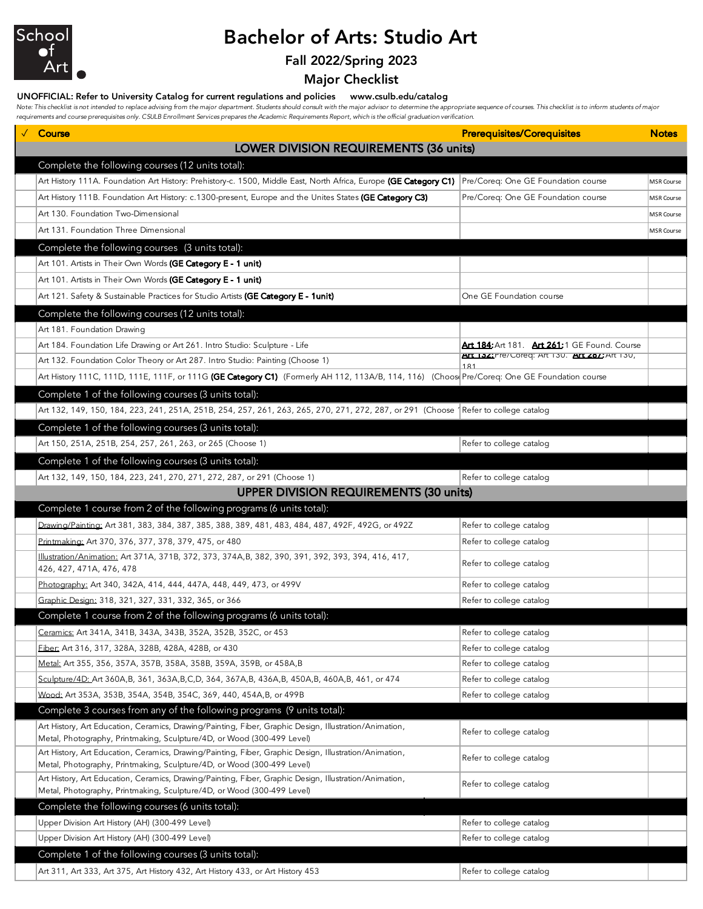

# Bachelor of Arts: Studio Art

## Fall 2022/Spring 2023

Major Checklist

## UNOFFICIAL: Refer to University Catalog for current regulations and policies www.csulb.edu/catalog

Note: This checklist is not intended to replace advising from the major department. Students should consult with the major advisor to determine the appropriate sequence of courses. This checklist is to inform students of m *requirements and course prerequisites only. CSULB Enrollment Services prepares the Academic Requirements Report, which is the official graduation verification.*

| Course                                                                                                                                                                           | <b>Prerequisites/Corequisites</b>                   | <b>Notes</b>      |  |  |  |  |
|----------------------------------------------------------------------------------------------------------------------------------------------------------------------------------|-----------------------------------------------------|-------------------|--|--|--|--|
| LOWER DIVISION REQUIREMENTS (36 units)                                                                                                                                           |                                                     |                   |  |  |  |  |
| Complete the following courses (12 units total):                                                                                                                                 |                                                     |                   |  |  |  |  |
| Art History 111A. Foundation Art History: Prehistory-c. 1500, Middle East, North Africa, Europe <b>(GE Category C1)</b> Pre/Coreq: One GE Foundation course                      |                                                     | <b>MSR Course</b> |  |  |  |  |
| Art History 111B. Foundation Art History: c.1300-present, Europe and the Unites States (GE Category C3)                                                                          | Pre/Coreq: One GE Foundation course                 | <b>MSR Course</b> |  |  |  |  |
| Art 130. Foundation Two-Dimensional                                                                                                                                              |                                                     | MSR Course        |  |  |  |  |
| Art 131. Foundation Three Dimensional                                                                                                                                            |                                                     | <b>MSR Course</b> |  |  |  |  |
| Complete the following courses (3 units total):                                                                                                                                  |                                                     |                   |  |  |  |  |
| Art 101. Artists in Their Own Words <b>(GE Category E - 1 unit)</b>                                                                                                              |                                                     |                   |  |  |  |  |
| Art 101. Artists in Their Own Words (GE Category E - 1 unit)                                                                                                                     |                                                     |                   |  |  |  |  |
| Art 121. Safety & Sustainable Practices for Studio Artists (GE Category E - 1unit)                                                                                               | One GE Foundation course                            |                   |  |  |  |  |
| Complete the following courses (12 units total):                                                                                                                                 |                                                     |                   |  |  |  |  |
| Art 181. Foundation Drawing                                                                                                                                                      |                                                     |                   |  |  |  |  |
| Art 184. Foundation Life Drawing or Art 261. Intro Studio: Sculpture - Life                                                                                                      | <b>Art 184: Art 181. Art 261:1 GE Found. Course</b> |                   |  |  |  |  |
| Art 132. Foundation Color Theory or Art 287. Intro Studio: Painting (Choose 1)                                                                                                   | ALL 132: Pre/Loreq: AR 130. ALL 251: AR 130,        |                   |  |  |  |  |
| Art History 111C, 111D, 111E, 111F, or 111G (GE Category C1) (Formerly AH 112, 113A/B, 114, 116) (Choos Pre/Coreq: One GE Foundation course                                      | 181                                                 |                   |  |  |  |  |
| Complete 1 of the following courses (3 units total):                                                                                                                             |                                                     |                   |  |  |  |  |
| Art 132, 149, 150, 184, 223, 241, 251A, 251B, 254, 257, 261, 263, 265, 270, 271, 272, 287, or 291 (Choose 1Refer to college catalog                                              |                                                     |                   |  |  |  |  |
| Complete 1 of the following courses (3 units total):                                                                                                                             |                                                     |                   |  |  |  |  |
| Art 150, 251A, 251B, 254, 257, 261, 263, or 265 (Choose 1)                                                                                                                       | Refer to college catalog                            |                   |  |  |  |  |
| Complete 1 of the following courses (3 units total):                                                                                                                             |                                                     |                   |  |  |  |  |
| Art 132, 149, 150, 184, 223, 241, 270, 271, 272, 287, or 291 (Choose 1)                                                                                                          | Refer to college catalog                            |                   |  |  |  |  |
| <b>UPPER DIVISION REQUIREMENTS (30 units)</b>                                                                                                                                    |                                                     |                   |  |  |  |  |
| Complete 1 course from 2 of the following programs (6 units total):                                                                                                              |                                                     |                   |  |  |  |  |
| <u>Drawing/Painting:</u> Art 381, 383, 384, 387, 385, 388, 389, 481, 483, 484, 487, 492F, 492G, or 492Z                                                                          | Refer to college catalog                            |                   |  |  |  |  |
| <u>Printmaking:</u> Art 370, 376, 377, 378, 379, 475, or 480                                                                                                                     | Refer to college catalog                            |                   |  |  |  |  |
| <u>Illustration/Animation:</u> Art 371A, 371B, 372, 373, 374A,B, 382, 390, 391, 392, 393, 394, 416, 417,                                                                         |                                                     |                   |  |  |  |  |
| 426, 427, 471A, 476, 478                                                                                                                                                         | Refer to college catalog                            |                   |  |  |  |  |
| Photography: Art 340, 342A, 414, 444, 447A, 448, 449, 473, or 499V                                                                                                               | Refer to college catalog                            |                   |  |  |  |  |
| Graphic Design: 318, 321, 327, 331, 332, 365, or 366                                                                                                                             | Refer to college catalog                            |                   |  |  |  |  |
| Complete 1 course from 2 of the following programs (6 units total):                                                                                                              |                                                     |                   |  |  |  |  |
| Ceramics: Art 341A, 341B, 343A, 343B, 352A, 352B, 352C, or 453                                                                                                                   | Refer to college catalog                            |                   |  |  |  |  |
| Eiber: Art 316, 317, 328A, 328B, 428A, 428B, or 430                                                                                                                              | Refer to college catalog                            |                   |  |  |  |  |
| Metal: Art 355, 356, 357A, 357B, 358A, 358B, 359A, 359B, or 458A, B                                                                                                              | Refer to college catalog                            |                   |  |  |  |  |
| Sculpture/4D: Art 360A, B, 361, 363A, B, C, D, 364, 367A, B, 436A, B, 450A, B, 460A, B, 461, or 474                                                                              | Refer to college catalog                            |                   |  |  |  |  |
| Wood: Art 353A, 353B, 354A, 354B, 354C, 369, 440, 454A, B, or 499B                                                                                                               | Refer to college catalog                            |                   |  |  |  |  |
| Complete 3 courses from any of the following programs (9 units total):                                                                                                           |                                                     |                   |  |  |  |  |
| Art History, Art Education, Ceramics, Drawing/Painting, Fiber, Graphic Design, Illustration/Animation,<br>Metal, Photography, Printmaking, Sculpture/4D, or Wood (300-499 Level) | Refer to college catalog                            |                   |  |  |  |  |
| Art History, Art Education, Ceramics, Drawing/Painting, Fiber, Graphic Design, Illustration/Animation,                                                                           |                                                     |                   |  |  |  |  |
| Metal, Photography, Printmaking, Sculpture/4D, or Wood (300-499 Level)                                                                                                           | Refer to college catalog                            |                   |  |  |  |  |
| Art History, Art Education, Ceramics, Drawing/Painting, Fiber, Graphic Design, Illustration/Animation,<br>Metal, Photography, Printmaking, Sculpture/4D, or Wood (300-499 Level) | Refer to college catalog                            |                   |  |  |  |  |
| Complete the following courses (6 units total):                                                                                                                                  |                                                     |                   |  |  |  |  |
| Upper Division Art History (AH) (300-499 Level)                                                                                                                                  | Refer to college catalog                            |                   |  |  |  |  |
| Upper Division Art History (AH) (300-499 Level)                                                                                                                                  | Refer to college catalog                            |                   |  |  |  |  |
| Complete 1 of the following courses (3 units total):                                                                                                                             |                                                     |                   |  |  |  |  |
|                                                                                                                                                                                  |                                                     |                   |  |  |  |  |
| Art 311, Art 333, Art 375, Art History 432, Art History 433, or Art History 453                                                                                                  | Refer to college catalog                            |                   |  |  |  |  |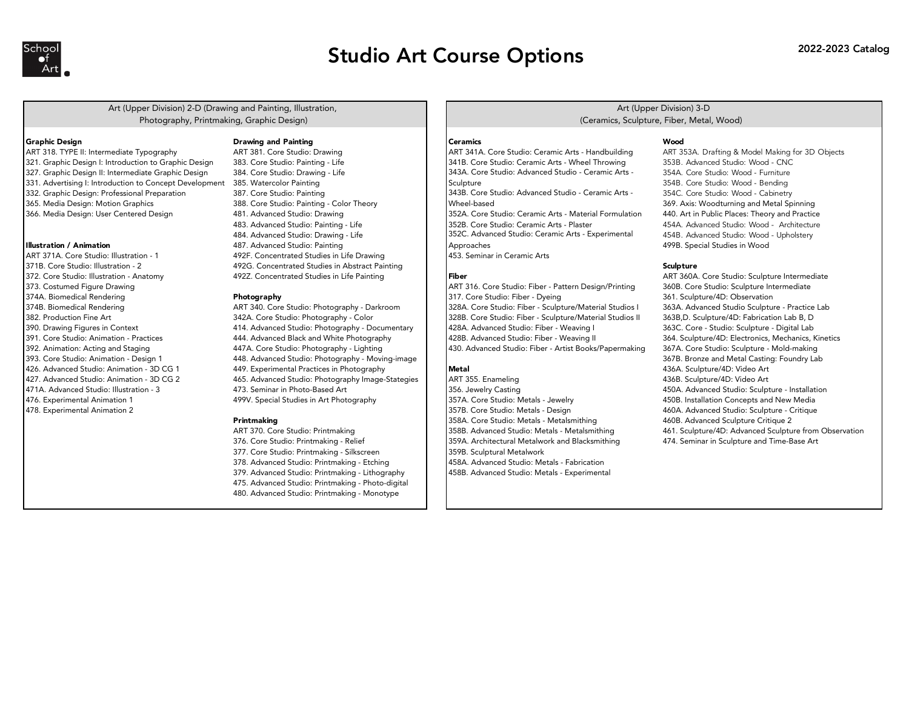

## Studio Art Course Options 2022-2023 Catalog

Art (Upper Division) 2-D (Drawing and Painting, Illustration, Photography, Printmaking, Graphic Design)

- ART 318. TYPE II: Intermediate Typography ART 381. Core Studio: Drawing ART 341A. Core Studio: Ceramic Arts Handbuilding ART 353A. Drafting & Model Making for 3D Objects 327. Graphic Design II: Intermediate Graphic Design 384. Core Studio: Drawing - Life
- 
- 
- 
- 

ART 371A. Core Studio: Illustration - 1 1 492F. Concentrated Studies in Life Drawing 1 453. Seminar in Ceramic Arts<br>371B. Core Studio: Illustration - 2 492G. Concentrated Studies in Abstract Painting 372. Core Studio: Illustration - Anatomy **4927. Concentrated Studies in Life Painting** Fiber **Fiber** ART 360A. Core Studio: Sculpture Intermediate

## Graphic Design **State Community Ceramics** Ceramics Community Ceramics Ceramics Ceramics Ceramics Ceramics Ceramics Ceramics Ceramics Ceramics Ceramics Ceramics Ceramics Ceramics Ceramics Ceramics Ceramics Ceramics Ceramics

492G. Concentrated Studies in Abstract Painting  $\qquad \qquad \qquad$  2 31 2 3 3 3 3 3 3 3 3 3 3 3 3 3 4 3 3 3 3 4 3 4 3 4 3 4 3 4 3 4 3 4 3 4 3 4 3 4 3 4 3 4 3 4 3 4 3 4 4 3 4 4 3 4 4 3 4 3 4 4 3 4 4 3 4 4 3 4 4 3 4 4 3 4 4 4 4 3 4

393. Core Studio: Animation - Design 1 448. Advanced Studio: Photography - Moving-image 367B. Bronze and Metal Casting: Foundry Lab 426. Advanced Studio: Animation - 3D CG 1 449. Experimental Practices in Photography Metal Metal 436A. Sculpture/4D: Video Art 436A. Sculpture/4D: Video Art and a method of the Studio: Animation - 3D CG 2 and 465. Advanced Studio: Photography Image-Stategies ART 355. Enameling and the Marting 436B. Sculpture/4D: Video Art (1990) ART 355. Advanced Studio: Sculpture/4D: Video Ar 471A. Advanced Studio: Illustration - 3 473. Seminar in Photo-Based Art 356. Jewelry Casting 450A. Advanced Studio: Sculpture - Installation 476. Experimental Animation 1 1 499V. Special Studies in Art Photography 1357A. Core Studio: Metals - Jewelry 450B. Installation Concepts and New Media

377. Core Studio: Printmaking - Silkscreen 359B. Sculptural Metalwork 378. Advanced Studio: Printmaking - Etching 458A. Advanced Studio: Metals - Fabrication 379. Advanced Studio: Printmaking - Lithography | 458B. Advanced Studio: Metals - Experimental 475. Advanced Studio: Printmaking - Photo-digital 480. Advanced Studio: Printmaking - Monotype

## Art (Upper Division) 3-D (Ceramics, Sculpture, Fiber, Metal, Wood)

321. Graphic Design I: Introduction to Graphic Design 383. Core Studio: Painting - Life 341B. Core Studio: Ceramic Arts - Wheel Throwing 353B. Advanced Studio: Wood - CNC - CNC - CNC<br>327. Graphic Design II: Intermediate Gr 331. Advertising I: Introduction to Concept Development 385. Watercolor Painting 354B. Core Studio: Wood - Bending 354B. Core Studio: Wood - Bending 332. Graphic Design: Professional Preparation 387. Core Studio: Painting 343B. Core Studio: Advanced Studio: Advanced Studio - Ceramic Arts - 354C. Core Studio: Wood - Cabinetry 365. Media Design: Motion Graphics 388. Core Studio: Painting - Color Theory 369. Axis: Woodturning and Metal Spinning 369. Axis: Woodturning and Metal Spinning 366. Media Design: User Centered Design 481. Advanced Studio: Drawing 352A. Core Studio: Ceramic Arts - Material Formulation 440. Art in Public Places: Theory and Practice 483. Advanced Studio: Painting - Life **1962 Core Studio: Ceramic Arts - Plaster** 454A. Advanced Studio: Wood - Architecture 484. Advanced Studio: Drawing - Life 454B. Advanced Studio: Wood - Upholstery 352C. Advanced Studio: Ceramic Arts - Experimental Illustration / Animation 1998. Special Studies in Wood 487. Advanced Studio: Painting 1998 Approaches 1998 Approaches 1998 Approaches 1998. Special Studies in Wood 499B. Special Studies in Wood 1998. Special Studies in Woo 343A. Core Studio: Advanced Studio - Ceramic Arts - **Sculpture** 343B. Core Studio: Advanced Studio - Ceramic Arts - Wheel-based Approaches

373. Costumed Figure Drawing Marting Art and the mediate and the studio: Fiber - Pattern Design/Printing 360B. Core Studio: Sculpture Intermediate 374A. Biomedical Rendering examples and the **Photography 317.** Core Studio: Fiber - Dyeing 361. Sculpture/4D: Observation 374B. Biomedical Rendering Theore ART 340. Core Studio: Photography - Darkroom 328A. Core Studio: Fiber - Sculpture/Material Studios I 363A. Advanced Studio Sculpture - Practice Lab 382. Production Fine Art 342A. Core Studio: Photography - Color 328B. Core Studio: Fiber - Sculpture/Material Studios II 363B,D. Sculpture/4D: Fabrication Lab B, D 390. Drawing Figures in Context 414. Advanced Studio: Photography - Documentary 428A. Advanced Studio: Fiber - Weaving I 363C. Core - Studio: Sculpture - Digital Lab 391. Core Studio: Animation - Practices 444. Advanced Black and White Photography 428B. Advanced Studio: Fiber - Weaving II 364. Sculpture/4D: Electronics, Mechanics, Kinetics 392. Animation: Acting and Staging 447A. Core Studio: Photography - Lighting 430. Advanced Studio: Fiber - Artist Books/Papermaking 367A. Core Studio: Sculpture - Mold-making

478. Experimental Animation 2 357B. Core Studio: Metals - Design 460A. Advanced Studio: Sculpture - Critique Printmaking **358A.** Core Studio: Metals - Metalsmithing 460B. Advanced Sculpture Critique 2 359A. Architectural Metalwork and Blacksmithing 474. Seminar in Sculpture and Time-Base Art

ART 370. Core Studio: Printmaking and Metals and Metals - Metals - Metals - Metalsmithing and Biology and Biology and Biology and Biology and Biology and Aft - Advanced Sculpture from Observation<br>376. Core Studio: Printmak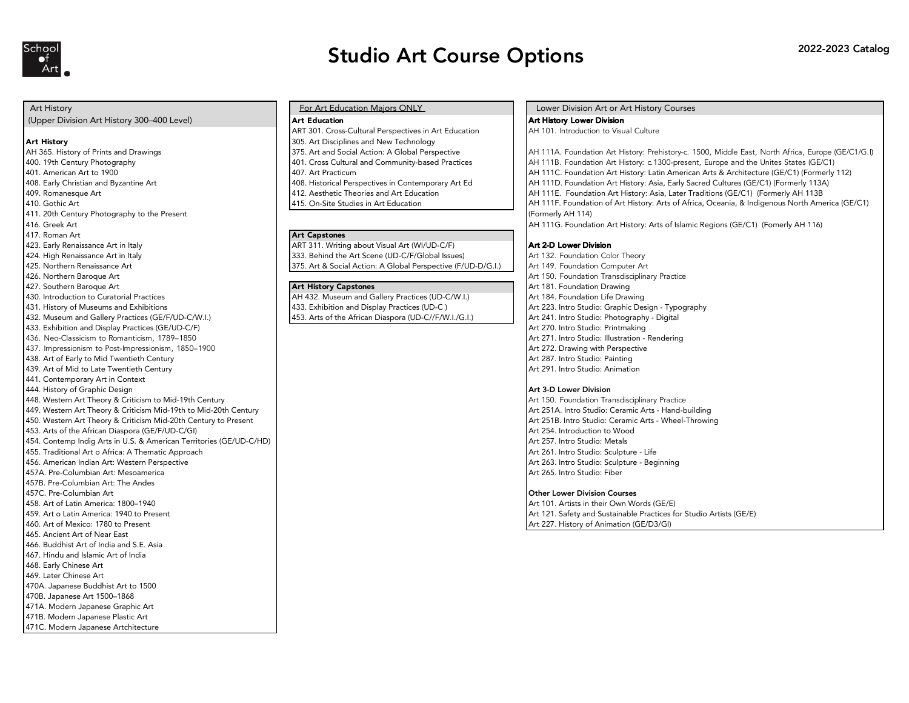

## Studio Art Course Options 2022-2023 Catalog

- 
- 
- 
- 
- 
- 
- 411. 20th Century Photography to the Present
- 
- 
- 417. Roman Art **Art Capstones**<br>423. Early Renaissance Art in Italy **ART 311. Writing**
- 
- 
- 
- 
- 
- 
- 433. Exhibition and Display Practices (GE/UD-C/F) Art 270. Intro Studio: Printmaking
- 436. Neo-Classicism to Romanticism, 1789–1850 Art 271. Intro Studio: Illustration Rendering
- 437. Impressionism to Post-Impressionism, 1850–1900 Art 272. Drawing with Perspective
- 
- 439. Art of Mid to Late Twentieth Century
- 441. Contemporary Art in Context
- Art 3-D Lower Division Art 3-D Lower Division Art 3-D Lower Division
- 448. Western Art Theory & Criticism to Mid-19th Century Art 19th Century Art 150. Foundation Transdisciplinary Practice
- 
- 450. Western Art Theory & Criticism Mid-20th Century to Present
- 
- 454. Contemp Indig Arts in U.S. & American Territories (GE/UD-C/HD)
- 455. Traditional Art o Africa: A Thematic Approach Art 261. Intro Studio: Sculpture Life
- 456. American Indian Art: Western Perspective Article Art 263. Intro Studio: Sculpture Beginning
- 457A. Pre-Columbian Art: Mesoamerica Art 265. Intro Studio: Fiber
- 457B. Pre-Columbian Art: The Andes<br>457C. Pre-Columbian Art
- 
- 
- 
- 
- 465. Ancient Art of Near East
- 466. Buddhist Art of India and S.E. Asia
- 467. Hindu and Islamic Art of India
- 468. Early Chinese Art
- 469. Later Chinese Art 470A. Japanese Buddhist Art to 1500
- 470B. Japanese Art 1500–1868
- 471A. Modern Japanese Graphic Art
- 471B. Modern Japanese Plastic Art
- 471C. Modern Japanese Artchitecture

(Upper Division Art History 300–400 Level) **Art Education Art Education** Art Education **Art History Lower Division**<br>ART 301. Cross-Cultural Perspectives in Art Education AH 101. Introduction to Visual Culture ART 301. Cross-Cultural Perspectives in Art Education **Art History 305.** Art Disciplines and New Technology AH 365. History of Prints and Drawings 375. Art and Social Action: A Global Perspective 410. Gothic Art 415. On-Site Studies in Art Education

ART 311. Writing about Visual Art (WI/UD-C/F) **Art 2-D Lower Division** 424. High Renaissance Art in Italy 333. Behind the Art Scene (UD-C/F/Global Issues) Art 132. Foundation Color Theory 375. Art & Social Action: A Global Perspective (F/UD-D/G.I.) Art 149. Foundation Computer Art

430. Introduction to Curatorial Practices AH AH 432. Museum and Gallery Practices (UD-C/W.I.) Art 184. Foundation Life Drawing 431. History of Museums and Exhibitions (Arthur Display Practices (UD-C) (Art 223. Intro Studio: Graphic Design - Typography<br>453. Arts of the African Diaspora (UD-C//F/W.I./G.I.) Art 241. Intro Studio: Photography - Digita 432. Museum and Gallery Practices (GE/F/UD-C/W.I.) 453. Arts of the African Diaspora (UD-C//F/W.I./G.I.) Art 241. Intro Studio: Photography - Digital

## Art History For Art Education Majors ONLY Lower Division Art or Art History Courses

400. 19th Century Photography 19th Canter Adventured Material AH 110. Foundation Art History: c.1300-present, Europe and the Unites States (GE/C1)<br>401. American Art to 1900 1900 1910 1910 1910 1911 1912 1913 1914 1916. And 401. American Art to 1900 401. American Art History: Latin American Arts & Architecture (GE/C1) (Formerly 112) 408. Early Christian and Byzantine Art 408. Historical Perspectives in Contemporary Art Ed AH 111D. Foundation Art History: Asia, Early Sacred Cultures (GE/C1) (Formerly 113A) 409. Romanesque Art Art Art Art Alternation Art Education Art Education Alternation Art History: Asia, Later Traditions (GE/C1) (Formerly AH 113B 416. Greek Art **Alt Strange Art Capstones AH 111G. Foundation Art History: Arts of Islamic Regions (GE/C1) (Fomerly AH 116)**<br>417. Roman Art AH 111F. Foundation of Art History: Arts of Africa, Oceania, & Indigenous North America (GE/C1) (Formerly AH 114) AH 111A. Foundation Art History: Prehistory-c. 1500, Middle East, North Africa, Europe (GE/C1/G.I)

According to the Matter Art Art 150. Foundation Transdisciplinary Practice Art Art 150. Foundation Transdisciplinary Practice Art Art 150. Foundation Transdisciplinary Practice Art 150. Foundation Drawing 427. Southern Baroque Art **Art Art Art Art Art History Capstones** Art 181. Foundation Drawing and the state of Early to Mid Twentieth Century and the state of the state of the state of Art 287. Intro Studio: Painting and the state of Mid to Late Twentieth Century and the state of Mid to Late Twentieth Century and t

Art 251A. Intro Studio: Ceramic Arts - Hand-building (1990) Art 251A. Intro Studio: Ceramic Arts - Hand-building<br>Art 251B. Intro Studio: Ceramic Arts - Wheel-Throwing Art 251B. Intro Studio: Ceramic Arts - Wheel-Throwing 453. Arts of the African Diaspora (GE/F/UD-C/GI) Art 254. Introduction to Wood (Art 254. Introduction to Wood<br>454. Contemp India Arts in U.S. & American Territories (GE/UD-C/HD)

## **Other Lower Division Courses**

458. Art of Latin America: 1800–1940 Art 101. Artists in their Own Words (GE/E) 459. Art o Latin America: 1940 to Present Artists (GE/E) and Sustainable Practices for Studio Artists (GE/E)<br>460. Art of Mexico: 1780 to Present Artists (GE/E) and Sustainable Practices for Studio Artists (GE/E) Art 227. History of Animation (GE/D3/GI)